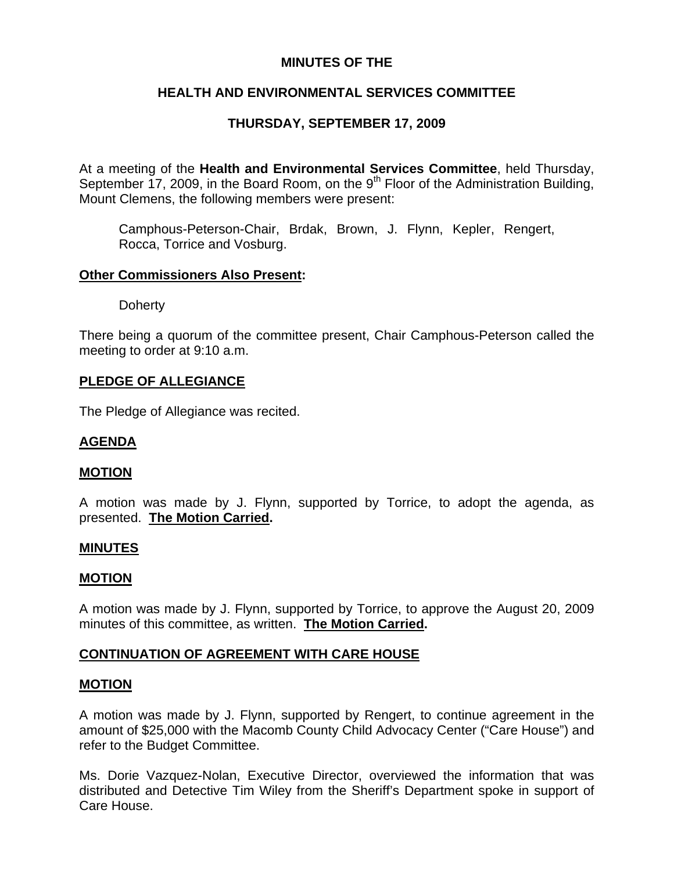## **MINUTES OF THE**

# **HEALTH AND ENVIRONMENTAL SERVICES COMMITTEE**

# **THURSDAY, SEPTEMBER 17, 2009**

At a meeting of the **Health and Environmental Services Committee**, held Thursday, September 17, 2009, in the Board Room, on the 9<sup>th</sup> Floor of the Administration Building, Mount Clemens, the following members were present:

Camphous-Peterson-Chair, Brdak, Brown, J. Flynn, Kepler, Rengert, Rocca, Torrice and Vosburg.

### **Other Commissioners Also Present:**

**Doherty** 

There being a quorum of the committee present, Chair Camphous-Peterson called the meeting to order at 9:10 a.m.

### **PLEDGE OF ALLEGIANCE**

The Pledge of Allegiance was recited.

## **AGENDA**

### **MOTION**

A motion was made by J. Flynn, supported by Torrice, to adopt the agenda, as presented. **The Motion Carried.** 

### **MINUTES**

### **MOTION**

A motion was made by J. Flynn, supported by Torrice, to approve the August 20, 2009 minutes of this committee, as written. **The Motion Carried.** 

## **CONTINUATION OF AGREEMENT WITH CARE HOUSE**

### **MOTION**

A motion was made by J. Flynn, supported by Rengert, to continue agreement in the amount of \$25,000 with the Macomb County Child Advocacy Center ("Care House") and refer to the Budget Committee.

Ms. Dorie Vazquez-Nolan, Executive Director, overviewed the information that was distributed and Detective Tim Wiley from the Sheriff's Department spoke in support of Care House.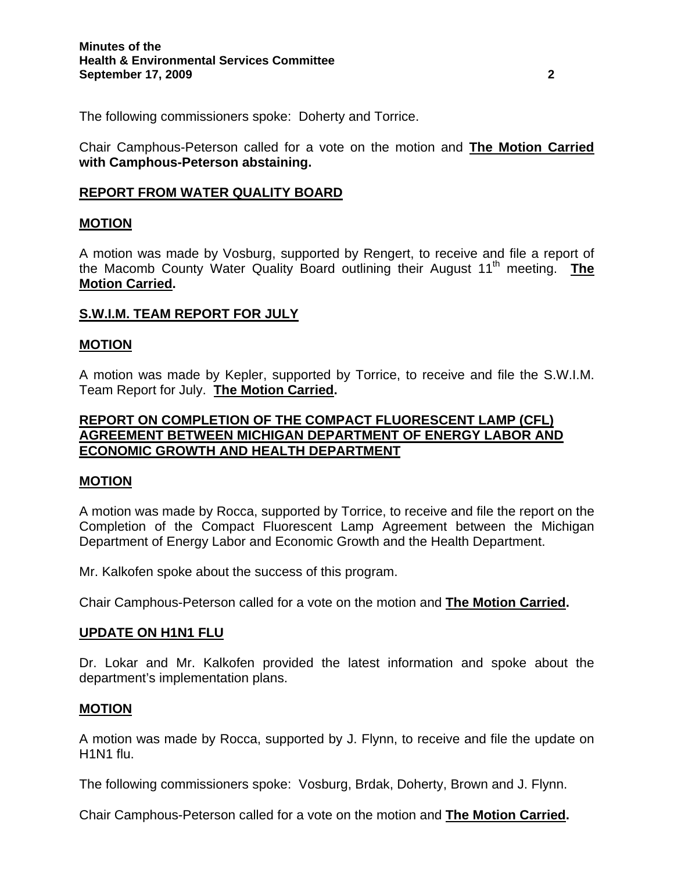The following commissioners spoke: Doherty and Torrice.

Chair Camphous-Peterson called for a vote on the motion and **The Motion Carried with Camphous-Peterson abstaining.**

## **REPORT FROM WATER QUALITY BOARD**

### **MOTION**

A motion was made by Vosburg, supported by Rengert, to receive and file a report of the Macomb County Water Quality Board outlining their August 11<sup>th</sup> meeting. **The Motion Carried.** 

### **S.W.I.M. TEAM REPORT FOR JULY**

### **MOTION**

A motion was made by Kepler, supported by Torrice, to receive and file the S.W.I.M. Team Report for July. **The Motion Carried.** 

## **REPORT ON COMPLETION OF THE COMPACT FLUORESCENT LAMP (CFL) AGREEMENT BETWEEN MICHIGAN DEPARTMENT OF ENERGY LABOR AND ECONOMIC GROWTH AND HEALTH DEPARTMENT**

### **MOTION**

A motion was made by Rocca, supported by Torrice, to receive and file the report on the Completion of the Compact Fluorescent Lamp Agreement between the Michigan Department of Energy Labor and Economic Growth and the Health Department.

Mr. Kalkofen spoke about the success of this program.

Chair Camphous-Peterson called for a vote on the motion and **The Motion Carried.** 

### **UPDATE ON H1N1 FLU**

Dr. Lokar and Mr. Kalkofen provided the latest information and spoke about the department's implementation plans.

### **MOTION**

A motion was made by Rocca, supported by J. Flynn, to receive and file the update on H1N1 flu.

The following commissioners spoke: Vosburg, Brdak, Doherty, Brown and J. Flynn.

Chair Camphous-Peterson called for a vote on the motion and **The Motion Carried.**